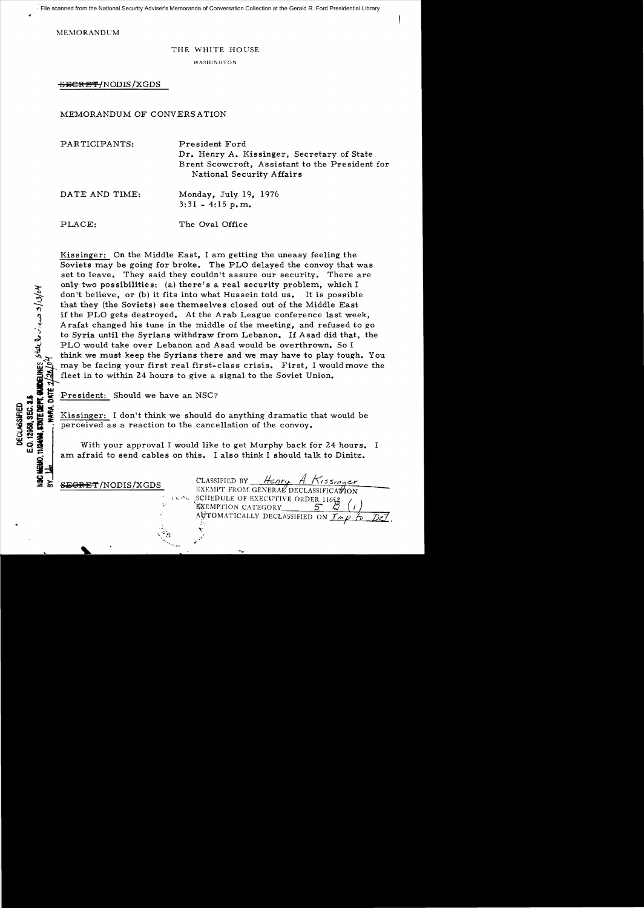File scanned from the National Security Adviser's Memoranda of Conversation Collection at the Gerald R. Ford Presidential Library

MEMORANDUM

## THE WHITE HOUSE

WASHINGTON

SECRET/NODIS/XGDS

## MEMORANDUM OF CONVERSATION

| PARTICIPANTS:  | President Ford<br>Dr. Henry A. Kissinger, Secretary of State<br>Brent Scowcroft, Assistant to the President for<br>National Security Affairs |
|----------------|----------------------------------------------------------------------------------------------------------------------------------------------|
| DATE AND TIME: | Monday, July 19, 1976<br>$3:31 - 4:15$ p.m.                                                                                                  |
| PLACE:         | The Oval Office                                                                                                                              |

Kissinger: On the Middle East, I am getting the uneasy feeling the Soviets may be going for broke. The PLO delayed the convoy that was set to leave. They said they couldn't assure our security. There are only two possibilities: (a) there's a real security problem, which  $I$ don't believe, or (b) it fits into what Hussein told us. It is possible that they (the Soviets) see themselves closed out of the Middle East if the PLO gets destroyed. At the Arab League conference last week, Arafat changed his tune in the middle of the meeting, and refused to go to Syria until the Syrians withdraw from Lebanon. If Asad did that, the PLO would take over Lebanon and Asad would be overthrown. So I think we must keep the Syrians there and we may have to play tough. You may be facing your first real first-class crisis. First, I would move the fleet in to within 24 hours to give a signal to the Soviet Union.

President: Should we have an NSC?

OF FEBIOLET SHOULD WE HAVE AT NSUPER CONTROLLED TO SUPER THE SIDE RESIDENCE IS A RESIDENCE IT I don't think we should do anything dramatic that would be seen to the cancellation of the convoy.<br>
The straight of the convoy o perceived as a reaction to the cancellation of the convoy.

With your approval I would like to get Murphy back for 24 hours. I am afraid to send cables on this. I also think I should talk to Dinitz.<br>  $\frac{1}{2}$ <br>
CLASSIFIED BY Henry A Kissinger

.s<br>T. Guvell

:<br>خ it<br>it

**SECRET**/NODIS/XGDS EXEMPT FROM GENERAL DECLASSIFICATION \ .. ".~ ,.SCI,lEDULE OF EXECUTIVE ORDER 1165,.2. (, )  $A$ UTOMATICALLY DECLASSIFIED ON *Imp*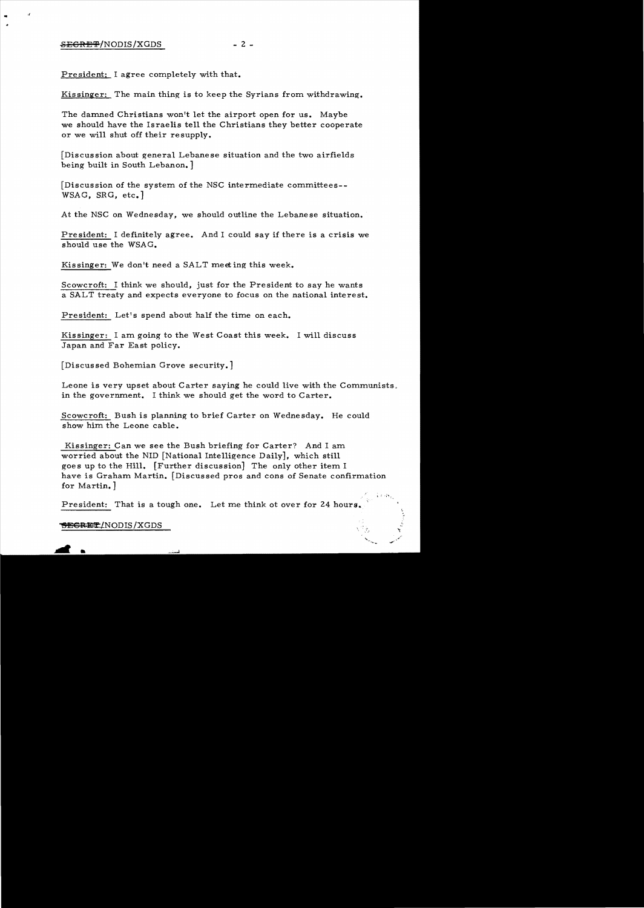$\mathcal{A}$ 

President: I agree completely with that.

Kissinger: The main thing is to keep the Syrians from withdrawing.

The damned Christians won't let the airport open for us. Maybe we should have the Israelis tell the Christians they better cooperate or we will shut off their re supply.

[Discussion about general Lebanese situation and the two airfields being built in South Lebanon.]

[Discussion of the system of the NSC intermediate committees- WSAG, SRG, etc.]

At the NSC on Wednesday, we should outline the Lebanese situation.

President: I definitely agree. And I could say if there is a crisis we should use the WSAG.

Kissinger: We don't need a SALT meeting this week.

Scowcroft: I think we should, just for the President to say he wants a SALT treaty and expects everyone to focus on the national interest.

President: Let's spend about half the time on each.

Kissinger: I am going to the West Coast this week. I will discuss Japan and Far East policy.

[Discussed Bohemian Grove security.]

Leone is very upset about Carter saying he could live with the Communists. in the government. I think we should get the word to Carter.

Scowcroft: Bush is planning to brief Carter on Wednesday. He could show him the Leone cable.

Kissinger: Can we see the Bush briefing for Carter? And I am worried about the NID [National Intelligence Daily], which still goes up to the Hill. [Further discussion] The only other item I have is Graham Martin. [Discussed pros and cons of Senate confirmation for Martin.]

President: That is a tough one. Let me think ot over for 24 hours.

## SECRET/NODIS/XGDS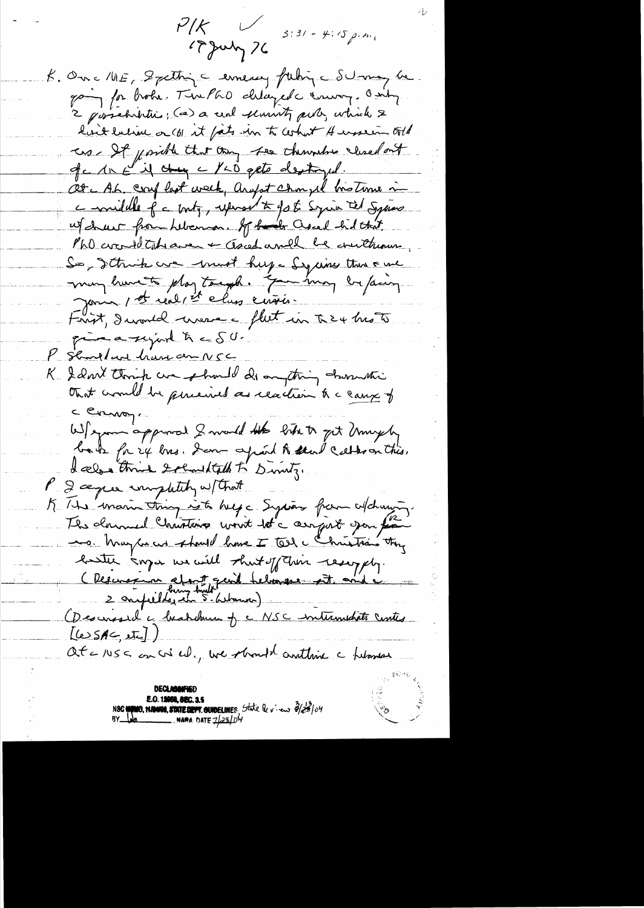$P/K$   $\cup$ 17 July 76

 $3:31 - 4:5$  p.m.

K. One ME, Spetting c emency futing Schonay be going for broke. The PGO delayed course, only 2 possebibitics; (a) a cent semints puts, which & have latine or (b) it fats in to cohort A ussein told us It point that they see themselves weredout of c 1x E if they a 120 gets destroyed. Ot A.L. coupled week, any it chompel his time in comidable of a borty, upwar to go to Syria tel Syrias w/chur from Libenson. If had ascel hid that PhO crowld take aver + asced and be cruthering So, I think we would huge Syring this can many hunts play tough. You may be paing journe, et réal, et clus crisis. Frist, Iwould were a flut in the 4 hrs to prime a surport to a SU. P Showland have an NSC K. I don't think we should do anything churchie that would be perceived as reaction to a cause of c Commons. Wil spon approved I mould the like to get Unighty bats for 24 bis. Som aprend to seen cathoon this.<br>I also think solund talk to Divity. P 2 ce per impletity w/ that K. He main thing is to help a System of changing. The downed Christine wont to carryist gan for ero. May be an showed home I tell a Christian they bester anger we will short of their resempty. (Reservation about quil believere est and Osesinssel a beatchemen je NSC internection contes  $[LeSAC, It]$ at = 1US < on w ed., we should anthine a helament **DECLASAN'IE E.O. 12058, SEC. 3.5** 

**MO, HAMOS, STATEDETT. GUIDELINES** State levieur 3/23/04<br>A NAMA DATE 7/28/04